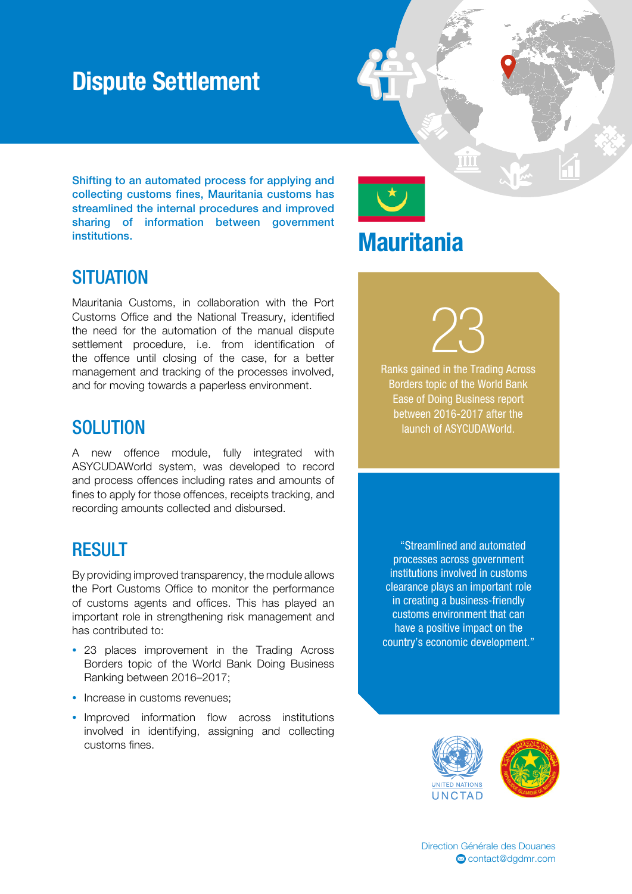## Dispute Settlement

Shifting to an automated process for applying and collecting customs fines, Mauritania customs has streamlined the internal procedures and improved sharing of information between government institutions.

### **SITUATION**

Mauritania Customs, in collaboration with the Port Customs Office and the National Treasury, identified the need for the automation of the manual dispute settlement procedure, i.e. from identification of the offence until closing of the case, for a better management and tracking of the processes involved, and for moving towards a paperless environment.

#### **SOLUTION**

A new offence module, fully integrated with ASYCUDAWorld system, was developed to record and process offences including rates and amounts of fines to apply for those offences, receipts tracking, and recording amounts collected and disbursed.

### RESULT

By providing improved transparency, the module allows the Port Customs Office to monitor the performance of customs agents and offices. This has played an important role in strengthening risk management and has contributed to:

- 23 places improvement in the Trading Across Borders topic of the World Bank Doing Business Ranking between 2016–2017;
- Increase in customs revenues:
- Improved information flow across institutions involved in identifying, assigning and collecting customs fines.

## **Mauritania**

23 Ranks gained in the Trading Across

TT

Borders topic of the World Bank Ease of Doing Business report between 2016-2017 after the launch of ASYCUDAWorld.

 "Streamlined and automated processes across government institutions involved in customs clearance plays an important role in creating a business-friendly customs environment that can have a positive impact on the country's economic development."